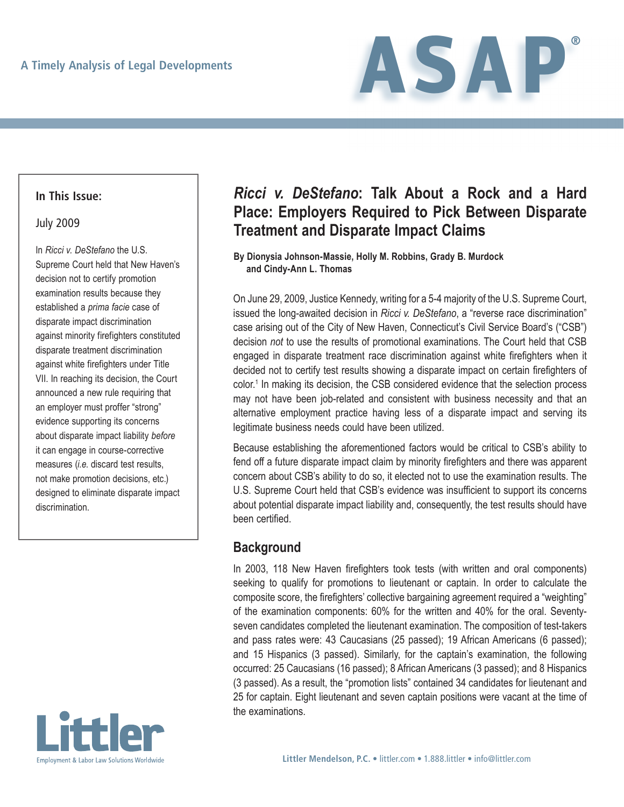

### **In This Issue:**

### July 2009

In *Ricci v. DeStefano* the U.S. Supreme Court held that New Haven's decision not to certify promotion examination results because they established a *prima facie* case of disparate impact discrimination against minority firefighters constituted disparate treatment discrimination against white firefighters under Title VII. In reaching its decision, the Court announced a new rule requiring that an employer must proffer "strong" evidence supporting its concerns about disparate impact liability *before* it can engage in course-corrective measures (*i.e*. discard test results, not make promotion decisions, etc.) designed to eliminate disparate impact discrimination.



# *Ricci v. DeStefano***: Talk About a Rock and a Hard Place: Employers Required to Pick Between Disparate Treatment and Disparate Impact Claims**

### **By Dionysia Johnson-Massie, Holly M. Robbins, Grady B. Murdock and Cindy-Ann L. Thomas**

On June 29, 2009, Justice Kennedy, writing for a 5-4 majority of the U.S. Supreme Court, issued the long-awaited decision in *Ricci v. DeStefano*, a "reverse race discrimination" case arising out of the City of New Haven, Connecticut's Civil Service Board's ("CSB") decision *not* to use the results of promotional examinations. The Court held that CSB engaged in disparate treatment race discrimination against white firefighters when it decided not to certify test results showing a disparate impact on certain firefighters of color.<sup>1</sup> In making its decision, the CSB considered evidence that the selection process may not have been job-related and consistent with business necessity and that an alternative employment practice having less of a disparate impact and serving its legitimate business needs could have been utilized.

Because establishing the aforementioned factors would be critical to CSB's ability to fend off a future disparate impact claim by minority firefighters and there was apparent concern about CSB's ability to do so, it elected not to use the examination results. The U.S. Supreme Court held that CSB's evidence was insufficient to support its concerns about potential disparate impact liability and, consequently, the test results should have been certified.

### **Background**

In 2003, 118 New Haven firefighters took tests (with written and oral components) seeking to qualify for promotions to lieutenant or captain. In order to calculate the composite score, the firefighters' collective bargaining agreement required a "weighting" of the examination components: 60% for the written and 40% for the oral. Seventyseven candidates completed the lieutenant examination. The composition of test-takers and pass rates were: 43 Caucasians (25 passed); 19 African Americans (6 passed); and 15 Hispanics (3 passed). Similarly, for the captain's examination, the following occurred: 25 Caucasians (16 passed); 8 African Americans (3 passed); and 8 Hispanics (3 passed). As a result, the "promotion lists" contained 34 candidates for lieutenant and 25 for captain. Eight lieutenant and seven captain positions were vacant at the time of the examinations.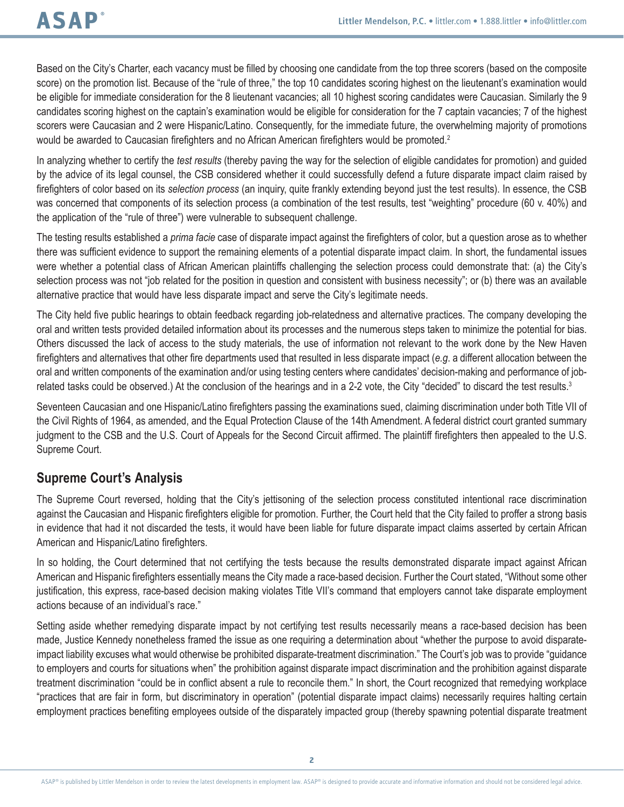Based on the City's Charter, each vacancy must be filled by choosing one candidate from the top three scorers (based on the composite score) on the promotion list. Because of the "rule of three," the top 10 candidates scoring highest on the lieutenant's examination would be eligible for immediate consideration for the 8 lieutenant vacancies; all 10 highest scoring candidates were Caucasian. Similarly the 9 candidates scoring highest on the captain's examination would be eligible for consideration for the 7 captain vacancies; 7 of the highest scorers were Caucasian and 2 were Hispanic/Latino. Consequently, for the immediate future, the overwhelming majority of promotions would be awarded to Caucasian firefighters and no African American firefighters would be promoted.<sup>2</sup>

In analyzing whether to certify the *test results* (thereby paving the way for the selection of eligible candidates for promotion) and guided by the advice of its legal counsel, the CSB considered whether it could successfully defend a future disparate impact claim raised by firefighters of color based on its *selection process* (an inquiry, quite frankly extending beyond just the test results). In essence, the CSB was concerned that components of its selection process (a combination of the test results, test "weighting" procedure (60 v. 40%) and the application of the "rule of three") were vulnerable to subsequent challenge.

The testing results established a *prima facie* case of disparate impact against the firefighters of color, but a question arose as to whether there was sufficient evidence to support the remaining elements of a potential disparate impact claim. In short, the fundamental issues were whether a potential class of African American plaintiffs challenging the selection process could demonstrate that: (a) the City's selection process was not "job related for the position in question and consistent with business necessity"; or (b) there was an available alternative practice that would have less disparate impact and serve the City's legitimate needs.

The City held five public hearings to obtain feedback regarding job-relatedness and alternative practices. The company developing the oral and written tests provided detailed information about its processes and the numerous steps taken to minimize the potential for bias. Others discussed the lack of access to the study materials, the use of information not relevant to the work done by the New Haven firefighters and alternatives that other fire departments used that resulted in less disparate impact (*e.g*. a different allocation between the oral and written components of the examination and/or using testing centers where candidates' decision-making and performance of jobrelated tasks could be observed.) At the conclusion of the hearings and in a 2-2 vote, the City "decided" to discard the test results.<sup>3</sup>

Seventeen Caucasian and one Hispanic/Latino firefighters passing the examinations sued, claiming discrimination under both Title VII of the Civil Rights of 1964, as amended, and the Equal Protection Clause of the 14th Amendment. A federal district court granted summary judgment to the CSB and the U.S. Court of Appeals for the Second Circuit affirmed. The plaintiff firefighters then appealed to the U.S. Supreme Court.

# **Supreme Court's Analysis**

The Supreme Court reversed, holding that the City's jettisoning of the selection process constituted intentional race discrimination against the Caucasian and Hispanic firefighters eligible for promotion. Further, the Court held that the City failed to proffer a strong basis in evidence that had it not discarded the tests, it would have been liable for future disparate impact claims asserted by certain African American and Hispanic/Latino firefighters.

In so holding, the Court determined that not certifying the tests because the results demonstrated disparate impact against African American and Hispanic firefighters essentially means the City made a race-based decision. Further the Court stated, "Without some other justification, this express, race-based decision making violates Title VII's command that employers cannot take disparate employment actions because of an individual's race."

Setting aside whether remedying disparate impact by not certifying test results necessarily means a race-based decision has been made, Justice Kennedy nonetheless framed the issue as one requiring a determination about "whether the purpose to avoid disparateimpact liability excuses what would otherwise be prohibited disparate-treatment discrimination." The Court's job was to provide "guidance to employers and courts for situations when" the prohibition against disparate impact discrimination and the prohibition against disparate treatment discrimination "could be in conflict absent a rule to reconcile them." In short, the Court recognized that remedying workplace "practices that are fair in form, but discriminatory in operation" (potential disparate impact claims) necessarily requires halting certain employment practices benefiting employees outside of the disparately impacted group (thereby spawning potential disparate treatment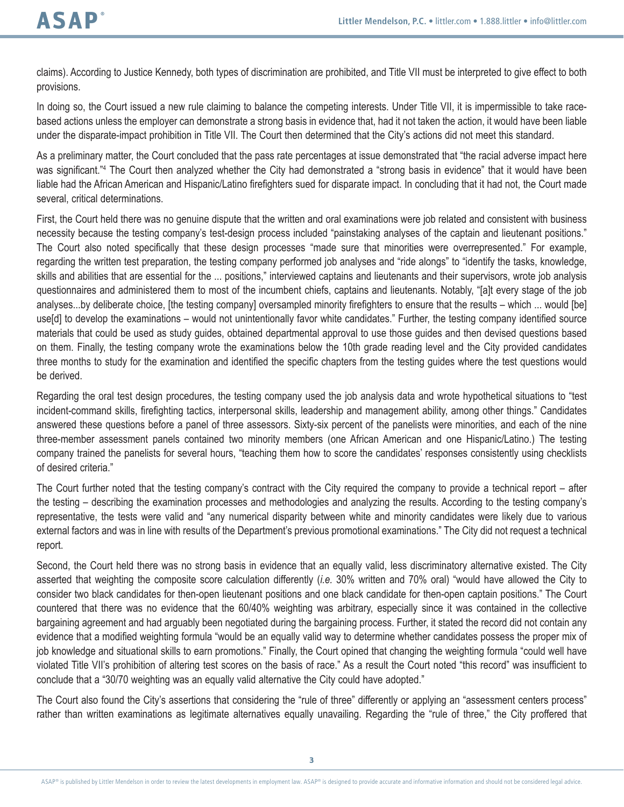claims). According to Justice Kennedy, both types of discrimination are prohibited, and Title VII must be interpreted to give effect to both provisions.

In doing so, the Court issued a new rule claiming to balance the competing interests. Under Title VII, it is impermissible to take racebased actions unless the employer can demonstrate a strong basis in evidence that, had it not taken the action, it would have been liable under the disparate-impact prohibition in Title VII. The Court then determined that the City's actions did not meet this standard.

As a preliminary matter, the Court concluded that the pass rate percentages at issue demonstrated that "the racial adverse impact here was significant."<sup>4</sup> The Court then analyzed whether the City had demonstrated a "strong basis in evidence" that it would have been liable had the African American and Hispanic/Latino firefighters sued for disparate impact. In concluding that it had not, the Court made several, critical determinations.

First, the Court held there was no genuine dispute that the written and oral examinations were job related and consistent with business necessity because the testing company's test-design process included "painstaking analyses of the captain and lieutenant positions." The Court also noted specifically that these design processes "made sure that minorities were overrepresented." For example, regarding the written test preparation, the testing company performed job analyses and "ride alongs" to "identify the tasks, knowledge, skills and abilities that are essential for the ... positions," interviewed captains and lieutenants and their supervisors, wrote job analysis questionnaires and administered them to most of the incumbent chiefs, captains and lieutenants. Notably, "[a]t every stage of the job analyses...by deliberate choice, [the testing company] oversampled minority firefighters to ensure that the results – which ... would [be] use[d] to develop the examinations – would not unintentionally favor white candidates." Further, the testing company identified source materials that could be used as study guides, obtained departmental approval to use those guides and then devised questions based on them. Finally, the testing company wrote the examinations below the 10th grade reading level and the City provided candidates three months to study for the examination and identified the specific chapters from the testing guides where the test questions would be derived.

Regarding the oral test design procedures, the testing company used the job analysis data and wrote hypothetical situations to "test incident-command skills, firefighting tactics, interpersonal skills, leadership and management ability, among other things." Candidates answered these questions before a panel of three assessors. Sixty-six percent of the panelists were minorities, and each of the nine three-member assessment panels contained two minority members (one African American and one Hispanic/Latino.) The testing company trained the panelists for several hours, "teaching them how to score the candidates' responses consistently using checklists of desired criteria."

The Court further noted that the testing company's contract with the City required the company to provide a technical report – after the testing – describing the examination processes and methodologies and analyzing the results. According to the testing company's representative, the tests were valid and "any numerical disparity between white and minority candidates were likely due to various external factors and was in line with results of the Department's previous promotional examinations." The City did not request a technical report.

Second, the Court held there was no strong basis in evidence that an equally valid, less discriminatory alternative existed. The City asserted that weighting the composite score calculation differently (*i.e.* 30% written and 70% oral) "would have allowed the City to consider two black candidates for then-open lieutenant positions and one black candidate for then-open captain positions." The Court countered that there was no evidence that the 60/40% weighting was arbitrary, especially since it was contained in the collective bargaining agreement and had arguably been negotiated during the bargaining process. Further, it stated the record did not contain any evidence that a modified weighting formula "would be an equally valid way to determine whether candidates possess the proper mix of job knowledge and situational skills to earn promotions." Finally, the Court opined that changing the weighting formula "could well have violated Title VII's prohibition of altering test scores on the basis of race." As a result the Court noted "this record" was insufficient to conclude that a "30/70 weighting was an equally valid alternative the City could have adopted."

The Court also found the City's assertions that considering the "rule of three" differently or applying an "assessment centers process" rather than written examinations as legitimate alternatives equally unavailing. Regarding the "rule of three," the City proffered that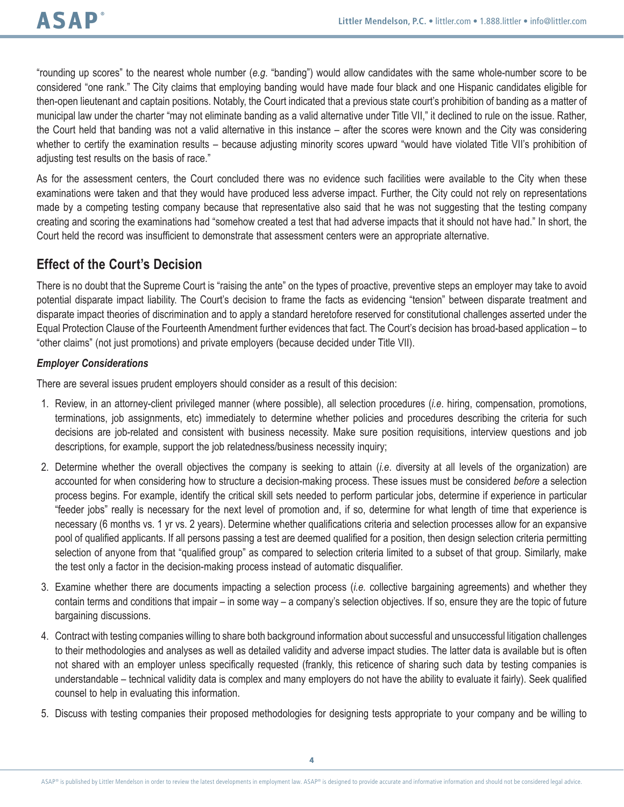"rounding up scores" to the nearest whole number (*e.g*. "banding") would allow candidates with the same whole-number score to be considered "one rank." The City claims that employing banding would have made four black and one Hispanic candidates eligible for then-open lieutenant and captain positions. Notably, the Court indicated that a previous state court's prohibition of banding as a matter of municipal law under the charter "may not eliminate banding as a valid alternative under Title VII," it declined to rule on the issue. Rather, the Court held that banding was not a valid alternative in this instance – after the scores were known and the City was considering whether to certify the examination results – because adjusting minority scores upward "would have violated Title VII's prohibition of adiusting test results on the basis of race."

As for the assessment centers, the Court concluded there was no evidence such facilities were available to the City when these examinations were taken and that they would have produced less adverse impact. Further, the City could not rely on representations made by a competing testing company because that representative also said that he was not suggesting that the testing company creating and scoring the examinations had "somehow created a test that had adverse impacts that it should not have had." In short, the Court held the record was insufficient to demonstrate that assessment centers were an appropriate alternative.

## **Effect of the Court's Decision**

There is no doubt that the Supreme Court is "raising the ante" on the types of proactive, preventive steps an employer may take to avoid potential disparate impact liability. The Court's decision to frame the facts as evidencing "tension" between disparate treatment and disparate impact theories of discrimination and to apply a standard heretofore reserved for constitutional challenges asserted under the Equal Protection Clause of the Fourteenth Amendment further evidences that fact. The Court's decision has broad-based application – to "other claims" (not just promotions) and private employers (because decided under Title VII).

### *Employer Considerations*

There are several issues prudent employers should consider as a result of this decision:

- 1. Review, in an attorney-client privileged manner (where possible), all selection procedures (*i.e*. hiring, compensation, promotions, terminations, job assignments, etc) immediately to determine whether policies and procedures describing the criteria for such decisions are job-related and consistent with business necessity. Make sure position requisitions, interview questions and job descriptions, for example, support the job relatedness/business necessity inquiry;
- 2. Determine whether the overall objectives the company is seeking to attain (*i.e*. diversity at all levels of the organization) are accounted for when considering how to structure a decision-making process. These issues must be considered *before* a selection process begins. For example, identify the critical skill sets needed to perform particular jobs, determine if experience in particular "feeder jobs" really is necessary for the next level of promotion and, if so, determine for what length of time that experience is necessary (6 months vs. 1 yr vs. 2 years). Determine whether qualifications criteria and selection processes allow for an expansive pool of qualified applicants. If all persons passing a test are deemed qualified for a position, then design selection criteria permitting selection of anyone from that "qualified group" as compared to selection criteria limited to a subset of that group. Similarly, make the test only a factor in the decision-making process instead of automatic disqualifier.
- 3. Examine whether there are documents impacting a selection process (*i.e.* collective bargaining agreements) and whether they contain terms and conditions that impair – in some way – a company's selection objectives. If so, ensure they are the topic of future bargaining discussions.
- 4. Contract with testing companies willing to share both background information about successful and unsuccessful litigation challenges to their methodologies and analyses as well as detailed validity and adverse impact studies. The latter data is available but is often not shared with an employer unless specifically requested (frankly, this reticence of sharing such data by testing companies is understandable – technical validity data is complex and many employers do not have the ability to evaluate it fairly). Seek qualified counsel to help in evaluating this information.
- 5. Discuss with testing companies their proposed methodologies for designing tests appropriate to your company and be willing to